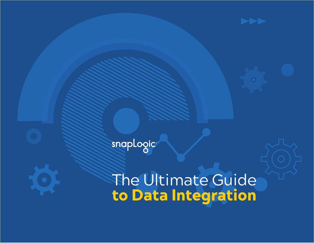

snaplogic

The Ultimate Guide to Data Integration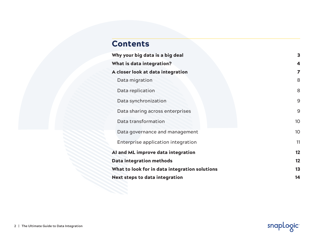# Contents

| Why your big data is a big deal                | 3  |
|------------------------------------------------|----|
| What is data integration?                      | 4  |
| A closer look at data integration              | 7  |
| Data migration                                 | 8  |
| Data replication                               | 8  |
| Data synchronization                           | 9  |
| Data sharing across enterprises                | 9  |
| Data transformation                            | 10 |
| Data governance and management                 | 10 |
| Enterprise application integration             | 11 |
| AI and ML improve data integration             | 12 |
| <b>Data integration methods</b>                | 12 |
| What to look for in data integration solutions | 13 |
| <b>Next steps to data integration</b>          | 14 |

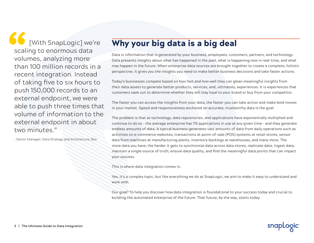[With SnapLogic] we're scaling to enormous data volumes, analyzing more than 100 million records in a recent integration. Instead of taking five to six hours to push 150,000 records to an external endpoint, we were able to push three times that volume of information to the external endpoint in about two minutes."

– Senior Manager, Data Strategy and Architecture, Box

## Why your big data is a big deal

Data is information that is generated by your business, employees, customers, partners, and technology. Data presents insights about what has happened in the past, what is happening now in real-time, and what may happen in the future. When enterprise data sources are brought together to create a complete, holistic perspective, it gives you the insights you need to make better business decisions and take faster actions.

Today's businesses compete based on how fast and how well they can glean meaningful insights from their data assets to generate better products, services, and, ultimately, experiences. It is experiences that customers seek out to determine whether they will stay loyal to your brand or buy from your competitor.

The faster you can access the insights from your data, the faster you can take action and make bold moves in your market. Speed and responsiveness anchored on accurate, trustworthy data is the goal.

The problem is that as technology, data repositories, and applications have exponentially multiplied and continue to do so – the average enterprise has 115 applications in use at any given time – and they generate endless amounts of data. A typical business generates vast amounts of data from daily operations such as activities on e-commerce websites, transactions at point-of-sale (POS) systems at retail stores, sensor data from machines at manufacturing plants, inventory backlogs at warehouses, and many more. The more data you have, the harder it gets to synchronize data across data stores, replicate data, ingest data, maintain a single source of truth, ensure data quality, and find the meaningful data points that can impact your success.

This is where data integration comes in.

Yes, it's a complex topic, but like everything we do at SnapLogic, we aim to make it easy to understand and work with.

Our goal? To help you discover how data integration is foundational to your success today and crucial to building the automated enterprise of the future. That future, by the way, starts today.

snapLoqiq

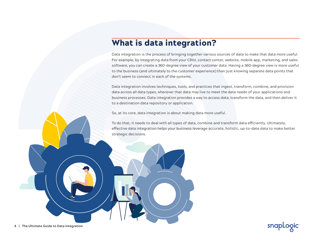### What is data integration?

Data integration is the process of bringing together various sources of data to make that data more useful. For example, by integrating data from your CRM, contact center, website, mobile app, marketing, and sales software, you can create a 360-degree view of your customer data. Having a 360-degree view is more useful to the business (and ultimately to the customer experience) than just knowing separate data points that don't seem to connect in each of the systems.

Data integration involves techniques, tools, and practices that ingest, transform, combine, and provision data across all data types, wherever that data may live to meet the data needs of your applications and business processes. Data integration provides a way to access data, transform the data, and then deliver it to a destination data repository or application.

So, at its core, data integration is about making data more useful.

To do that, it needs to deal with all types of data, combine and transform data efficiently. Ultimately, effective data integration helps your business leverage accurate, holistic, up-to-date data to make better strategic decisions.

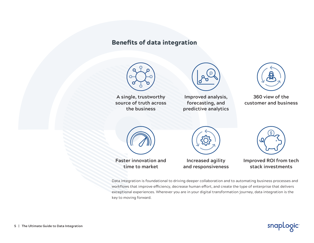### Benefits of data integration



**A single, trustworthy source of truth across the business**



**Improved analysis, forecasting, and predictive analytics**



**360 view of the customer and business**





**Faster innovation and time to market**

**Increased agility and responsiveness** 



**Improved ROI from tech stack investments**

Data integration is foundational to driving deeper collaboration and to automating business processes and workflows that improve efficiency, decrease human effort, and create the type of enterprise that delivers exceptional experiences. Wherever you are in your digital transformation journey, data integration is the key to moving forward.

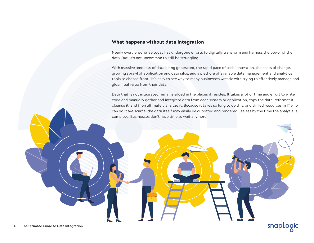#### What happens without data integration

Nearly every enterprise today has undergone efforts to digitally transform and harness the power of their data. But, it's not uncommon to still be struggling.

With massive amounts of data being generated, the rapid pace of tech innovation, the costs of change, growing sprawl of application and data silos, and a plethora of available data management and analytics tools to choose from – it's easy to see why so many businesses wrestle with trying to effectively manage and glean real value from their data.

Data that is not integrated remains siloed in the places it resides. It takes a lot of time and effort to write code and manually gather and integrate data from each system or application, copy the data, reformat it, cleanse it, and then ultimately analyze it. Because it takes so long to do this, and skilled resources in IT who can do it are scarce, the data itself may easily be outdated and rendered useless by the time the analysis is complete. Businesses don't have time to wait anymore.

snapLogic

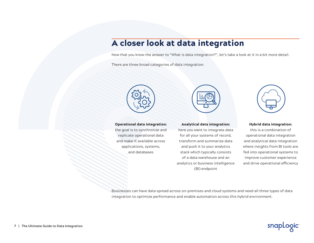# A closer look at data integration

Now that you know the answer to "What is data integration?", let's take a look at it in a bit more detail.

There are three broad categories of data integration:





the goal is to synchronize and replicate operational data and make it available across applications, systems, and databases



#### Analytical data integration:

here you want to integrate data for all your systems of record, transform and summarize data and push it to your analytics stack which typically consists of a data warehouse and an analytics or business intelligence (BI) endpoint



#### Hybrid data integration:

this is a combination of operational data integration and analytical data integration where insights from BI tools are fed into operational systems to improve customer experience and drive operational efficiency

Businesses can have data spread across on-premises and cloud systems and need all three types of data integration to optimize performance and enable automation across this hybrid environment.

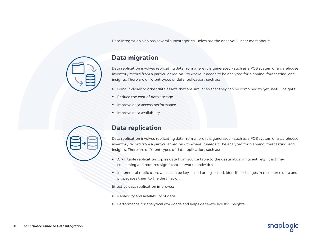Data integration also has several subcategories. Below are the ones you'll hear most about:



#### Data migration

Data replication involves replicating data from where it is generated – such as a POS system or a warehouse inventory record from a particular region – to where it needs to be analyzed for planning, forecasting, and insights. There are different types of data replication, such as:

- Bring it closer to other data assets that are similar so that they can be combined to get useful insights
- Reduce the cost of data storage
- Improve data access performance
- Improve data availability



#### Data replication

Data replication involves replicating data from where it is generated – such as a POS system or a warehouse inventory record from a particular region – to where it needs to be analyzed for planning, forecasting, and insights. There are different types of data replication, such as:

- A full table replication copies data from source table to the destination in its entirety. It is timeconsuming and requires significant network bandwidth
- Incremental replication, which can be key-based or log-based, identifies changes in the source data and propagates them to the destination

snapLogic

Effective data replication improves:

- Reliability and availability of data
- Performance for analytical workloads and helps generate holistic insights

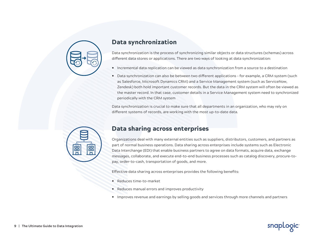

### Data synchronization

Data synchronization is the process of synchronizing similar objects or data structures (schemas) across different data stores or applications. There are two ways of looking at data synchronization:

- Incremental data replication can be viewed as data synchronization from a source to a destination
- Data synchronization can also be between two different applications for example, a CRM system (such as Salesforce, Microsoft Dynamics CRM) and a Service Management system (such as ServiceNow, Zendesk) both hold important customer records. But the data in the CRM system will often be viewed as the master record. In that case, customer details in a Service Management system need to synchronized periodically with the CRM system

Data synchronization is crucial to make sure that all departments in an organization, who may rely on different systems of records, are working with the most up-to-date data.



#### Data sharing across enterprises

Organizations deal with many external entities such as suppliers, distributors, customers, and partners as part of normal business operations. Data sharing across enterprises include systems such as Electronic Data Interchange (EDI) that enable business partners to agree on data formats, acquire data, exchange messages, collaborate, and execute end-to-end business processes such as catalog discovery, procure-topay, order-to-cash, transportation of goods, and more.

Effective data sharing across enterprises provides the following benefits:

- Reduces time-to-market
- Reduces manual errors and improves productivity
- Improves revenue and earnings by selling goods and services through more channels and partners

snapLogic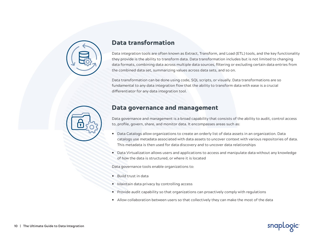

#### Data transformation

Data integration tools are often known as Extract, Transform, and Load (ETL) tools, and the key functionality they provide is the ability to transform data. Data transformation includes but is not limited to changing data formats, combining data across multiple data sources, filtering or excluding certain data entries from the combined data set, summarizing values across data sets, and so on.

Data transformation can be done using code, SQL scripts, or visually. Data transformations are so fundamental to any data integration flow that the ability to transform data with ease is a crucial differentiator for any data integration tool.



#### Data governance and management

Data governance and management is a broad capability that consists of the ability to audit, control access to, profile, govern, share, and monitor data. It encompasses areas such as:

- Data Catalogs allow organizations to create an orderly list of data assets in an organization. Data catalogs use metadata associated with data assets to uncover context with various repositories of data. This metadata is then used for data discovery and to uncover data relationships
- Data Virtualization allows users and applications to access and manipulate data without any knowledge of how the data is structured, or where it is located

Data governance tools enable organizations to:

- Build trust in data
- Maintain data privacy by controlling access
- Provide audit capability so that organizations can proactively comply with regulations
- Allow collaboration between users so that collectively they can make the most of the data

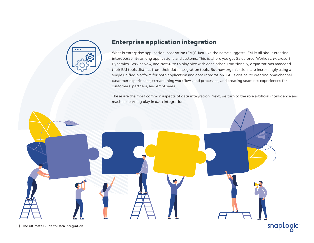

### Enterprise application integration

What is enterprise application integration (EAI)? Just like the name suggests, EAI is all about creating interoperability among applications and systems. This is where you get Salesforce, Workday, Microsoft Dynamics, ServiceNow, and NetSuite to play nice with each other. Traditionally, organizations managed their EAI tools distinct from their data integration tools. But now organizations are increasingly using a single unified platform for both application and data integration. EAI is critical to creating omnichannel customer experiences, streamlining workflows and processes, and creating seamless experiences for customers, partners, and employees.

These are the most common aspects of data integration. Next, we turn to the role artificial intelligence and machine learning play in data integration.

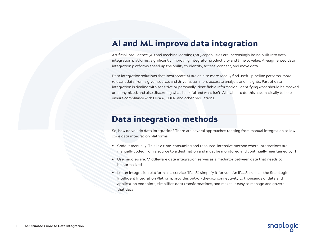## AI and ML improve data integration

Artificial intelligence (AI) and machine learning (ML) capabilities are increasingly being built into data integration platforms, significantly improving integrator productivity and time to value. AI-augmented data integration platforms speed up the ability to identify, access, connect, and move data.

Data integration solutions that incorporate AI are able to more readily find useful pipeline patterns, more relevant data from a given source, and drive faster, more accurate analysis and insights. Part of data integration is dealing with sensitive or personally identifiable information, identifying what should be masked or anonymized, and also discerning what is useful and what isn't. AI is able to do this automatically to help ensure compliance with HIPAA, GDPR, and other regulations.

## Data integration methods

So, how do you do data integration? There are several approaches ranging from manual integration to lowcode data integration platforms:

- Code it manually. This is a time-consuming and resource-intensive method where integrations are manually coded from a source to a destination and must be monitored and continually maintained by IT
- Use middleware. Middleware data integration serves as a mediator between data that needs to be normalized
- Let an integration platform as a service (iPaaS) simplify it for you. An iPaaS, such as the SnapLogic Intelligent Integration Platform, provides out-of-the-box connectivity to thousands of data and application endpoints, simplifies data transformations, and makes it easy to manage and govern that data

snapLogic

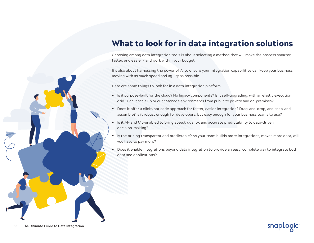# What to look for in data integration solutions

Choosing among data integration tools is about selecting a method that will make the process smarter, faster, and easier – and work within your budget.

It's also about harnessing the power of AI to ensure your integration capabilities can keep your business moving with as much speed and agility as possible.

Here are some things to look for in a data integration platform:

- Is it purpose-built for the cloud? No legacy components? Is it self-upgrading, with an elastic execution grid? Can it scale up or out? Manage environments from public to private and on-premises?
- Does it offer a clicks not code approach for faster, easier integration? Drag-and-drop, and snap-andassemble? Is it robust enough for developers, but easy enough for your business teams to use?
- Is it AI- and ML-enabled to bring speed, quality, and accurate predictability to data-driven decision-making?
- Is the pricing transparent and predictable? As your team builds more integrations, moves more data, will you have to pay more?
- Does it enable integrations beyond data integration to provide an easy, complete way to integrate both data and applications?